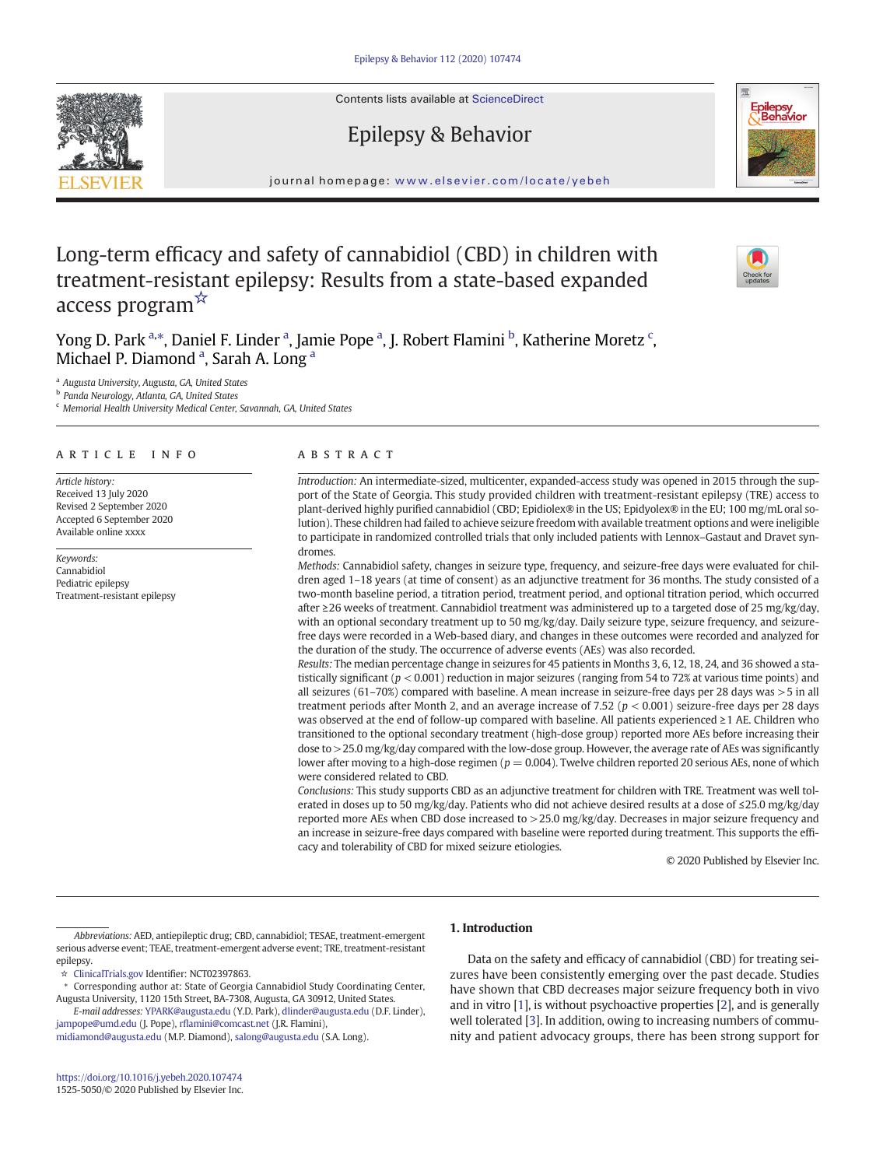Contents lists available at ScienceDirect

# Epilepsy & Behavior



journal homepage: <www.elsevier.com/locate/yebeh>

# Long-term efficacy and safety of cannabidiol (CBD) in children with treatment-resistant epilepsy: Results from a state-based expanded access program☆

Yong D. Park <sup>a,\*</sup>, Daniel F. Linder <sup>a</sup>, Jamie Pope <sup>a</sup>, J. Robert Flamini <sup>b</sup>, Katherine Moretz <sup>c</sup>, Michael P. Diamond<sup>a</sup>, Sarah A. Long<sup>a</sup>

<sup>a</sup> Augusta University, Augusta, GA, United States

b Panda Neurology, Atlanta, GA, United States

<sup>c</sup> Memorial Health University Medical Center, Savannah, GA, United States

# article info abstract

Article history: Received 13 July 2020 Revised 2 September 2020 Accepted 6 September 2020 Available online xxxx

Keywords: Cannabidiol Pediatric epilepsy Treatment-resistant epilepsy

Introduction: An intermediate-sized, multicenter, expanded-access study was opened in 2015 through the support of the State of Georgia. This study provided children with treatment-resistant epilepsy (TRE) access to plant-derived highly purified cannabidiol (CBD; Epidiolex® in the US; Epidyolex® in the EU; 100 mg/mL oral solution). These children had failed to achieve seizure freedom with available treatment options and were ineligible to participate in randomized controlled trials that only included patients with Lennox–Gastaut and Dravet syndromes.

Methods: Cannabidiol safety, changes in seizure type, frequency, and seizure-free days were evaluated for children aged 1–18 years (at time of consent) as an adjunctive treatment for 36 months. The study consisted of a two-month baseline period, a titration period, treatment period, and optional titration period, which occurred after ≥26 weeks of treatment. Cannabidiol treatment was administered up to a targeted dose of 25 mg/kg/day, with an optional secondary treatment up to 50 mg/kg/day. Daily seizure type, seizure frequency, and seizurefree days were recorded in a Web-based diary, and changes in these outcomes were recorded and analyzed for the duration of the study. The occurrence of adverse events (AEs) was also recorded.

Results: The median percentage change in seizures for 45 patients in Months 3, 6, 12, 18, 24, and 36 showed a statistically significant ( $p < 0.001$ ) reduction in major seizures (ranging from 54 to 72% at various time points) and all seizures (61–70%) compared with baseline. A mean increase in seizure-free days per 28 days was >5 in all treatment periods after Month 2, and an average increase of 7.52 ( $p < 0.001$ ) seizure-free days per 28 days was observed at the end of follow-up compared with baseline. All patients experienced ≥1 AE. Children who transitioned to the optional secondary treatment (high-dose group) reported more AEs before increasing their dose to >25.0 mg/kg/day compared with the low-dose group. However, the average rate of AEs was significantly lower after moving to a high-dose regimen ( $p = 0.004$ ). Twelve children reported 20 serious AEs, none of which were considered related to CBD.

Conclusions: This study supports CBD as an adjunctive treatment for children with TRE. Treatment was well tolerated in doses up to 50 mg/kg/day. Patients who did not achieve desired results at a dose of ≤25.0 mg/kg/day reported more AEs when CBD dose increased to >25.0 mg/kg/day. Decreases in major seizure frequency and an increase in seizure-free days compared with baseline were reported during treatment. This supports the efficacy and tolerability of CBD for mixed seizure etiologies.

© 2020 Published by Elsevier Inc.

Abbreviations: AED, antiepileptic drug; CBD, cannabidiol; TESAE, treatment-emergent serious adverse event; TEAE, treatment-emergent adverse event; TRE, treatment-resistant epilepsy.

☆ [ClinicalTrials.gov](http://ClinicalTrials.gov) Identifier: NCT02397863.

E-mail addresses: [YPARK@augusta.edu](mailto:YPARK@augusta.edu) (Y.D. Park), [dlinder@augusta.edu](mailto:dlinder@augusta.edu) (D.F. Linder), [jampope@umd.edu](mailto:jampope@umd.edu) (J. Pope), rfl[amini@comcast.net](mailto:rflamini@comcast.net) (J.R. Flamini),

[midiamond@augusta.edu](mailto:midiamond@augusta.edu) (M.P. Diamond), [salong@augusta.edu](mailto:salong@augusta.edu) (S.A. Long).

## 1. Introduction

Data on the safety and efficacy of cannabidiol (CBD) for treating seizures have been consistently emerging over the past decade. Studies have shown that CBD decreases major seizure frequency both in vivo and in vitro [\[1\]](#page-7-0), is without psychoactive properties [\[2\]](#page-7-0), and is generally well tolerated [\[3](#page-7-0)]. In addition, owing to increasing numbers of community and patient advocacy groups, there has been strong support for



<sup>⁎</sup> Corresponding author at: State of Georgia Cannabidiol Study Coordinating Center, Augusta University, 1120 15th Street, BA-7308, Augusta, GA 30912, United States.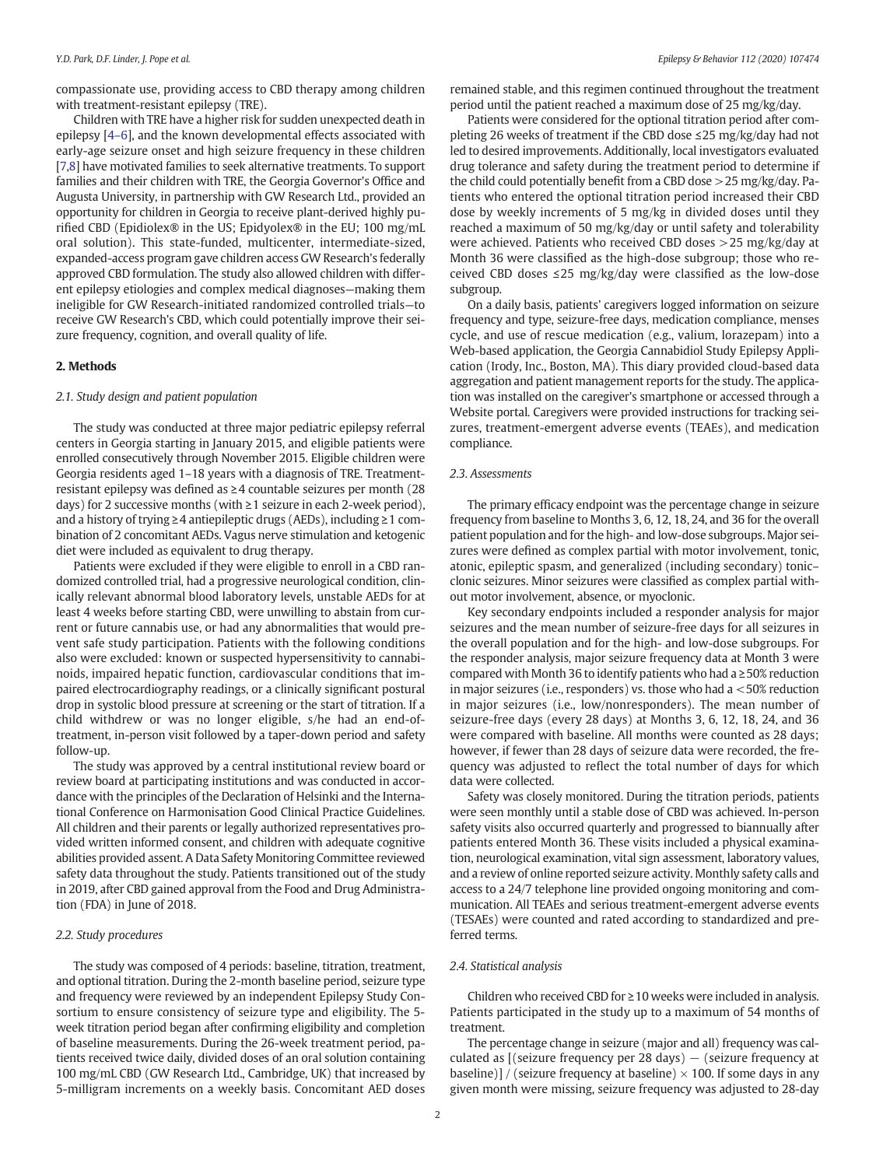compassionate use, providing access to CBD therapy among children with treatment-resistant epilepsy (TRE).

Children with TRE have a higher risk for sudden unexpected death in epilepsy [\[4](#page-7-0)–6], and the known developmental effects associated with early-age seizure onset and high seizure frequency in these children [[7,8](#page-7-0)] have motivated families to seek alternative treatments. To support families and their children with TRE, the Georgia Governor's Office and Augusta University, in partnership with GW Research Ltd., provided an opportunity for children in Georgia to receive plant-derived highly purified CBD (Epidiolex® in the US; Epidyolex® in the EU; 100 mg/mL oral solution). This state-funded, multicenter, intermediate-sized, expanded-access program gave children access GW Research's federally approved CBD formulation. The study also allowed children with different epilepsy etiologies and complex medical diagnoses—making them ineligible for GW Research-initiated randomized controlled trials—to receive GW Research's CBD, which could potentially improve their seizure frequency, cognition, and overall quality of life.

#### 2. Methods

#### 2.1. Study design and patient population

The study was conducted at three major pediatric epilepsy referral centers in Georgia starting in January 2015, and eligible patients were enrolled consecutively through November 2015. Eligible children were Georgia residents aged 1–18 years with a diagnosis of TRE. Treatmentresistant epilepsy was defined as ≥4 countable seizures per month (28 days) for 2 successive months (with ≥1 seizure in each 2-week period), and a history of trying ≥4 antiepileptic drugs (AEDs), including ≥1 combination of 2 concomitant AEDs. Vagus nerve stimulation and ketogenic diet were included as equivalent to drug therapy.

Patients were excluded if they were eligible to enroll in a CBD randomized controlled trial, had a progressive neurological condition, clinically relevant abnormal blood laboratory levels, unstable AEDs for at least 4 weeks before starting CBD, were unwilling to abstain from current or future cannabis use, or had any abnormalities that would prevent safe study participation. Patients with the following conditions also were excluded: known or suspected hypersensitivity to cannabinoids, impaired hepatic function, cardiovascular conditions that impaired electrocardiography readings, or a clinically significant postural drop in systolic blood pressure at screening or the start of titration. If a child withdrew or was no longer eligible, s/he had an end-oftreatment, in-person visit followed by a taper-down period and safety follow-up.

The study was approved by a central institutional review board or review board at participating institutions and was conducted in accordance with the principles of the Declaration of Helsinki and the International Conference on Harmonisation Good Clinical Practice Guidelines. All children and their parents or legally authorized representatives provided written informed consent, and children with adequate cognitive abilities provided assent. A Data Safety Monitoring Committee reviewed safety data throughout the study. Patients transitioned out of the study in 2019, after CBD gained approval from the Food and Drug Administration (FDA) in June of 2018.

#### 2.2. Study procedures

The study was composed of 4 periods: baseline, titration, treatment, and optional titration. During the 2-month baseline period, seizure type and frequency were reviewed by an independent Epilepsy Study Consortium to ensure consistency of seizure type and eligibility. The 5 week titration period began after confirming eligibility and completion of baseline measurements. During the 26-week treatment period, patients received twice daily, divided doses of an oral solution containing 100 mg/mL CBD (GW Research Ltd., Cambridge, UK) that increased by 5-milligram increments on a weekly basis. Concomitant AED doses remained stable, and this regimen continued throughout the treatment period until the patient reached a maximum dose of 25 mg/kg/day.

Patients were considered for the optional titration period after completing 26 weeks of treatment if the CBD dose ≤25 mg/kg/day had not led to desired improvements. Additionally, local investigators evaluated drug tolerance and safety during the treatment period to determine if the child could potentially benefit from a CBD dose >25 mg/kg/day. Patients who entered the optional titration period increased their CBD dose by weekly increments of 5 mg/kg in divided doses until they reached a maximum of 50 mg/kg/day or until safety and tolerability were achieved. Patients who received CBD doses >25 mg/kg/day at Month 36 were classified as the high-dose subgroup; those who received CBD doses ≤25 mg/kg/day were classified as the low-dose subgroup.

On a daily basis, patients' caregivers logged information on seizure frequency and type, seizure-free days, medication compliance, menses cycle, and use of rescue medication (e.g., valium, lorazepam) into a Web-based application, the Georgia Cannabidiol Study Epilepsy Application (Irody, Inc., Boston, MA). This diary provided cloud-based data aggregation and patient management reports for the study. The application was installed on the caregiver's smartphone or accessed through a Website portal. Caregivers were provided instructions for tracking seizures, treatment-emergent adverse events (TEAEs), and medication compliance.

#### 2.3. Assessments

The primary efficacy endpoint was the percentage change in seizure frequency from baseline to Months 3, 6, 12, 18, 24, and 36 for the overall patient population and for the high- and low-dose subgroups. Major seizures were defined as complex partial with motor involvement, tonic, atonic, epileptic spasm, and generalized (including secondary) tonic– clonic seizures. Minor seizures were classified as complex partial without motor involvement, absence, or myoclonic.

Key secondary endpoints included a responder analysis for major seizures and the mean number of seizure-free days for all seizures in the overall population and for the high- and low-dose subgroups. For the responder analysis, major seizure frequency data at Month 3 were compared with Month 36 to identify patients who had a ≥50% reduction in major seizures (i.e., responders) vs. those who had a <50% reduction in major seizures (i.e., low/nonresponders). The mean number of seizure-free days (every 28 days) at Months 3, 6, 12, 18, 24, and 36 were compared with baseline. All months were counted as 28 days; however, if fewer than 28 days of seizure data were recorded, the frequency was adjusted to reflect the total number of days for which data were collected.

Safety was closely monitored. During the titration periods, patients were seen monthly until a stable dose of CBD was achieved. In-person safety visits also occurred quarterly and progressed to biannually after patients entered Month 36. These visits included a physical examination, neurological examination, vital sign assessment, laboratory values, and a review of online reported seizure activity. Monthly safety calls and access to a 24/7 telephone line provided ongoing monitoring and communication. All TEAEs and serious treatment-emergent adverse events (TESAEs) were counted and rated according to standardized and preferred terms.

#### 2.4. Statistical analysis

Children who received CBD for ≥10 weeks were included in analysis. Patients participated in the study up to a maximum of 54 months of treatment.

The percentage change in seizure (major and all) frequency was calculated as  $[(seizure frequency per 28 days) - (seizure frequency at$ baseline)] / (seizure frequency at baseline)  $\times$  100. If some days in any given month were missing, seizure frequency was adjusted to 28-day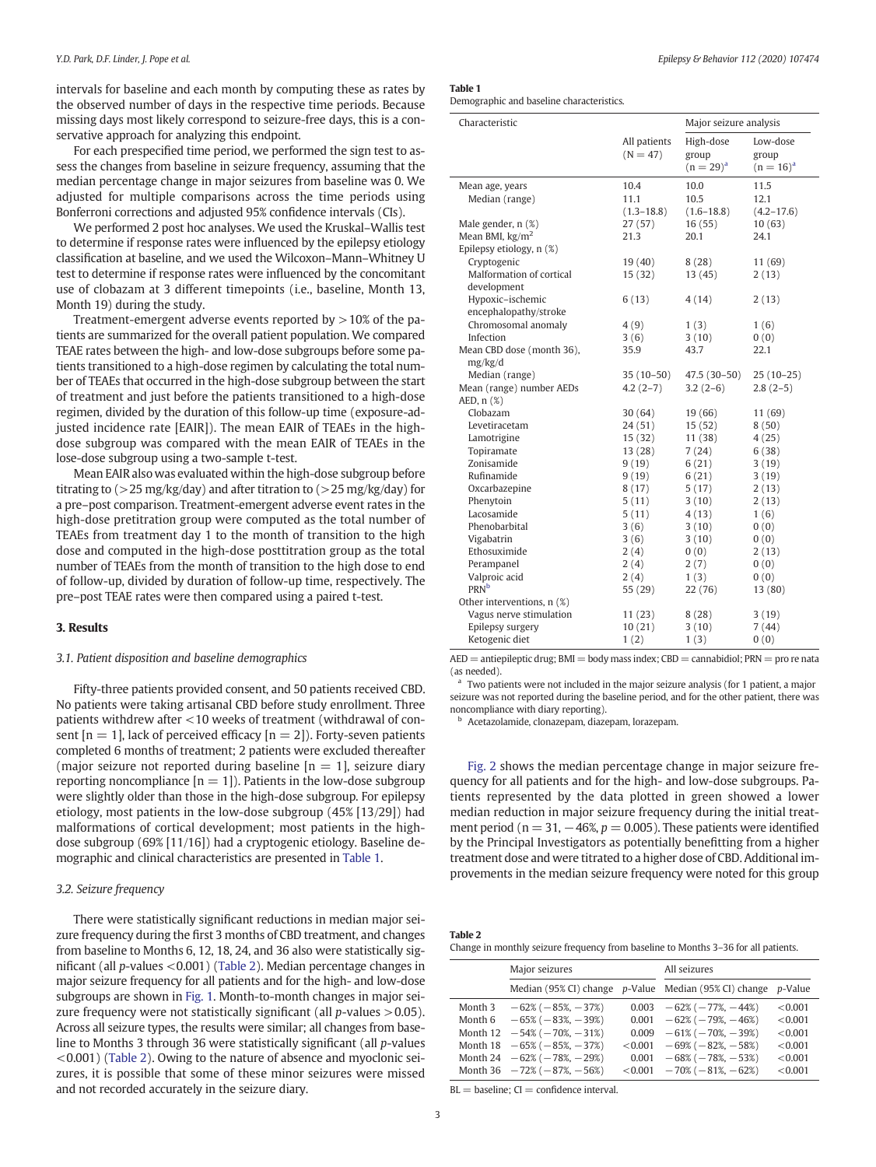intervals for baseline and each month by computing these as rates by the observed number of days in the respective time periods. Because missing days most likely correspond to seizure-free days, this is a conservative approach for analyzing this endpoint.

For each prespecified time period, we performed the sign test to assess the changes from baseline in seizure frequency, assuming that the median percentage change in major seizures from baseline was 0. We adjusted for multiple comparisons across the time periods using Bonferroni corrections and adjusted 95% confidence intervals (CIs).

We performed 2 post hoc analyses. We used the Kruskal–Wallis test to determine if response rates were influenced by the epilepsy etiology classification at baseline, and we used the Wilcoxon–Mann–Whitney U test to determine if response rates were influenced by the concomitant use of clobazam at 3 different timepoints (i.e., baseline, Month 13, Month 19) during the study.

Treatment-emergent adverse events reported by  $>10\%$  of the patients are summarized for the overall patient population. We compared TEAE rates between the high- and low-dose subgroups before some patients transitioned to a high-dose regimen by calculating the total number of TEAEs that occurred in the high-dose subgroup between the start of treatment and just before the patients transitioned to a high-dose regimen, divided by the duration of this follow-up time (exposure-adjusted incidence rate [EAIR]). The mean EAIR of TEAEs in the highdose subgroup was compared with the mean EAIR of TEAEs in the lose-dose subgroup using a two-sample t-test.

Mean EAIR also was evaluated within the high-dose subgroup before titrating to  $(>25 \text{ mg/kg/day})$  and after titration to  $(>25 \text{ mg/kg/day})$  for a pre–post comparison. Treatment-emergent adverse event rates in the high-dose pretitration group were computed as the total number of TEAEs from treatment day 1 to the month of transition to the high dose and computed in the high-dose posttitration group as the total number of TEAEs from the month of transition to the high dose to end of follow-up, divided by duration of follow-up time, respectively. The pre–post TEAE rates were then compared using a paired t-test.

# 3. Results

#### 3.1. Patient disposition and baseline demographics

Fifty-three patients provided consent, and 50 patients received CBD. No patients were taking artisanal CBD before study enrollment. Three patients withdrew after <10 weeks of treatment (withdrawal of consent  $[n = 1]$ , lack of perceived efficacy  $[n = 2]$ ). Forty-seven patients completed 6 months of treatment; 2 patients were excluded thereafter (major seizure not reported during baseline  $[n = 1]$ , seizure diary reporting noncompliance  $[n = 1]$ ). Patients in the low-dose subgroup were slightly older than those in the high-dose subgroup. For epilepsy etiology, most patients in the low-dose subgroup (45% [13/29]) had malformations of cortical development; most patients in the highdose subgroup (69% [11/16]) had a cryptogenic etiology. Baseline demographic and clinical characteristics are presented in Table 1.

#### 3.2. Seizure frequency

There were statistically significant reductions in median major seizure frequency during the first 3 months of CBD treatment, and changes from baseline to Months 6, 12, 18, 24, and 36 also were statistically significant (all p-values <0.001) (Table 2). Median percentage changes in major seizure frequency for all patients and for the high- and low-dose subgroups are shown in [Fig. 1](#page-3-0). Month-to-month changes in major seizure frequency were not statistically significant (all  $p$ -values  $> 0.05$ ). Across all seizure types, the results were similar; all changes from baseline to Months 3 through 36 were statistically significant (all p-values <0.001) (Table 2). Owing to the nature of absence and myoclonic seizures, it is possible that some of these minor seizures were missed and not recorded accurately in the seizure diary.

| Epilepsy & Behavior 112 (2020) 107474 |  |  |  |
|---------------------------------------|--|--|--|
|---------------------------------------|--|--|--|

Table 1

Demographic and baseline characteristics.

| Characteristic             |                            | Major seizure analysis               |                                     |  |
|----------------------------|----------------------------|--------------------------------------|-------------------------------------|--|
|                            | All patients<br>$(N = 47)$ | High-dose<br>group<br>$(n = 29)^{a}$ | Low-dose<br>group<br>$(n = 16)^{a}$ |  |
| Mean age, years            | 10.4                       | 10.0                                 | 11.5                                |  |
| Median (range)             | 11.1                       | 10.5                                 | 12.1                                |  |
|                            | $(1.3 - 18.8)$             | $(1.6 - 18.8)$                       | $(4.2 - 17.6)$                      |  |
| Male gender, n (%)         | 27(57)                     | 16(55)                               | 10(63)                              |  |
| Mean BMI, $\text{kg/m}^2$  | 21.3                       | 20.1                                 | 24.1                                |  |
| Epilepsy etiology, n (%)   |                            |                                      |                                     |  |
| Cryptogenic                | 19(40)                     | 8(28)                                | 11(69)                              |  |
| Malformation of cortical   | 15(32)                     | 13(45)                               | 2(13)                               |  |
| development                |                            |                                      |                                     |  |
| Hypoxic-ischemic           | 6(13)                      | 4(14)                                | 2(13)                               |  |
| encephalopathy/stroke      |                            |                                      |                                     |  |
| Chromosomal anomaly        | 4(9)                       | 1(3)                                 | 1(6)                                |  |
| Infection                  | 3(6)                       | 3(10)                                | 0(0)                                |  |
| Mean CBD dose (month 36),  | 35.9                       | 43.7                                 | 22.1                                |  |
| mg/kg/d                    |                            |                                      |                                     |  |
| Median (range)             | $35(10-50)$                | $47.5(30-50)$                        | $25(10-25)$                         |  |
| Mean (range) number AEDs   | $4.2(2-7)$                 | $3.2(2-6)$                           | $2.8(2-5)$                          |  |
| AED, $n$ $(\%)$            |                            |                                      |                                     |  |
| Clobazam                   | 30(64)                     | 19 (66)                              | 11 (69)                             |  |
| Levetiracetam              | 24(51)                     | 15(52)                               | 8(50)                               |  |
| Lamotrigine                | 15(32)                     | 11(38)                               | 4(25)                               |  |
| Topiramate                 | 13(28)                     | 7(24)                                | 6(38)                               |  |
| Zonisamide                 | 9(19)                      | 6(21)                                | 3(19)                               |  |
| Rufinamide                 | 9(19)                      | 6(21)                                | 3(19)                               |  |
| Oxcarbazepine              | 8(17)                      | 5(17)                                | 2(13)                               |  |
| Phenytoin                  | 5(11)                      | 3(10)                                | 2(13)                               |  |
| Lacosamide                 | 5(11)                      | 4(13)                                | 1(6)                                |  |
| Phenobarbital              | 3(6)                       | 3(10)                                | 0(0)                                |  |
| Vigabatrin                 | 3(6)                       | 3(10)                                | 0(0)                                |  |
| Ethosuximide               | 2(4)                       | 0(0)                                 | 2(13)                               |  |
| Perampanel                 | 2(4)                       | 2(7)                                 | 0(0)                                |  |
| Valproic acid              | 2(4)                       | 1(3)                                 | 0(0)                                |  |
| <b>PRN</b> b               | 55 (29)                    | 22(76)                               | 13(80)                              |  |
| Other interventions, n (%) |                            |                                      |                                     |  |
| Vagus nerve stimulation    | 11(23)                     | 8(28)                                | 3(19)                               |  |
| Epilepsy surgery           | 10(21)                     | 3(10)                                | 7(44)                               |  |
| Ketogenic diet             | 1(2)                       | 1(3)                                 | 0(0)                                |  |

 $AED =$  antiepileptic drug;  $BMI =$  body mass index;  $CBD =$  cannabidiol;  $PRN =$  pro re nata (as needed).

Two patients were not included in the major seizure analysis (for 1 patient, a major seizure was not reported during the baseline period, and for the other patient, there was noncompliance with diary reporting).

<sup>b</sup> Acetazolamide, clonazepam, diazepam, lorazepam.

[Fig. 2](#page-3-0) shows the median percentage change in major seizure frequency for all patients and for the high- and low-dose subgroups. Patients represented by the data plotted in green showed a lower median reduction in major seizure frequency during the initial treatment period ( $n = 31, -46\%, p = 0.005$ ). These patients were identified by the Principal Investigators as potentially benefitting from a higher treatment dose and were titrated to a higher dose of CBD. Additional improvements in the median seizure frequency were noted for this group

| 2 د |                                                                   |  |  |  |
|-----|-------------------------------------------------------------------|--|--|--|
|     | $\sim$ to account to common factories and contract to contact $M$ |  |  |  |

| Change in monthly seizure frequency from baseline to Months 3–36 for all patients. |  |  |  |
|------------------------------------------------------------------------------------|--|--|--|
|------------------------------------------------------------------------------------|--|--|--|

|                    | Major seizures                                                             |                  | All seizures                                                   |                    |  |
|--------------------|----------------------------------------------------------------------------|------------------|----------------------------------------------------------------|--------------------|--|
|                    |                                                                            |                  | Median (95% CI) change p-Value Median (95% CI) change p-Value  |                    |  |
| Month 3<br>Month 6 | $-62\%$ ( $-85\%$ , $-37\%$ )<br>$-65\%$ ( $-83\%$ , $-39\%$ )             | 0.001            | $0.003 -62\% (-77\%, -44\%)$<br>$-62\%$ ( $-79\%$ , $-46\%$ )  | < 0.001<br>< 0.001 |  |
| Month 12           | $-54\%$ ( $-70\%$ , $-31\%$ )                                              | 0.009            | $-61\% (-70\%, -39\%)$                                         | < 0.001            |  |
|                    | Month $18 - 65\% (-85\%, -37\%)$<br>Month 24 $-62\%$ ( $-78\%$ , $-29\%$ ) | < 0.001<br>0.001 | $-69\%$ ( $-82\%$ , $-58\%$ )<br>$-68\%$ ( $-78\%$ , $-53\%$ ) | < 0.001<br>< 0.001 |  |
|                    | Month 36 $-72\%$ ( $-87\%$ , $-56\%$ )                                     | < 0.001          | $-70\%$ ( $-81\%$ , $-62\%$ )                                  | < 0.001            |  |

 $BL = baseline$ ;  $CI = confidence$  interval.

**Table**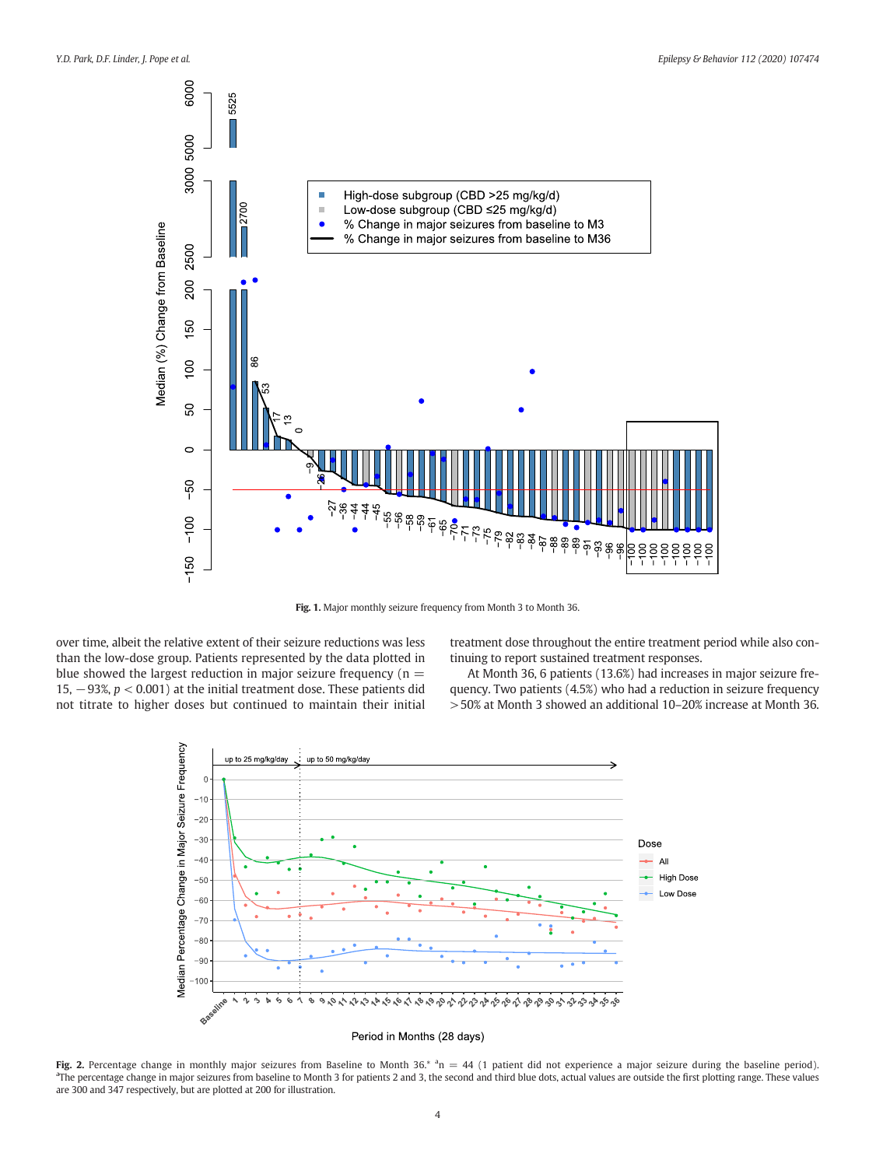<span id="page-3-0"></span>

Fig. 1. Major monthly seizure frequency from Month 3 to Month 36.

over time, albeit the relative extent of their seizure reductions was less than the low-dose group. Patients represented by the data plotted in blue showed the largest reduction in major seizure frequency ( $n =$ 15,  $-93\%$ ,  $p < 0.001$ ) at the initial treatment dose. These patients did not titrate to higher doses but continued to maintain their initial

treatment dose throughout the entire treatment period while also continuing to report sustained treatment responses.

At Month 36, 6 patients (13.6%) had increases in major seizure frequency. Two patients (4.5%) who had a reduction in seizure frequency >50% at Month 3 showed an additional 10–20% increase at Month 36.



Fig. 2. Percentage change in monthly major seizures from Baseline to Month 36.<sup>\*</sup>  $n = 44$  (1 patient did not experience a major seizure during the baseline period). <sup>a</sup>The percentage change in major seizures from baseline to Month 3 for patients 2 and 3, the second and third blue dots, actual values are outside the first plotting range. These values are 300 and 347 respectively, but are plotted at 200 for illustration.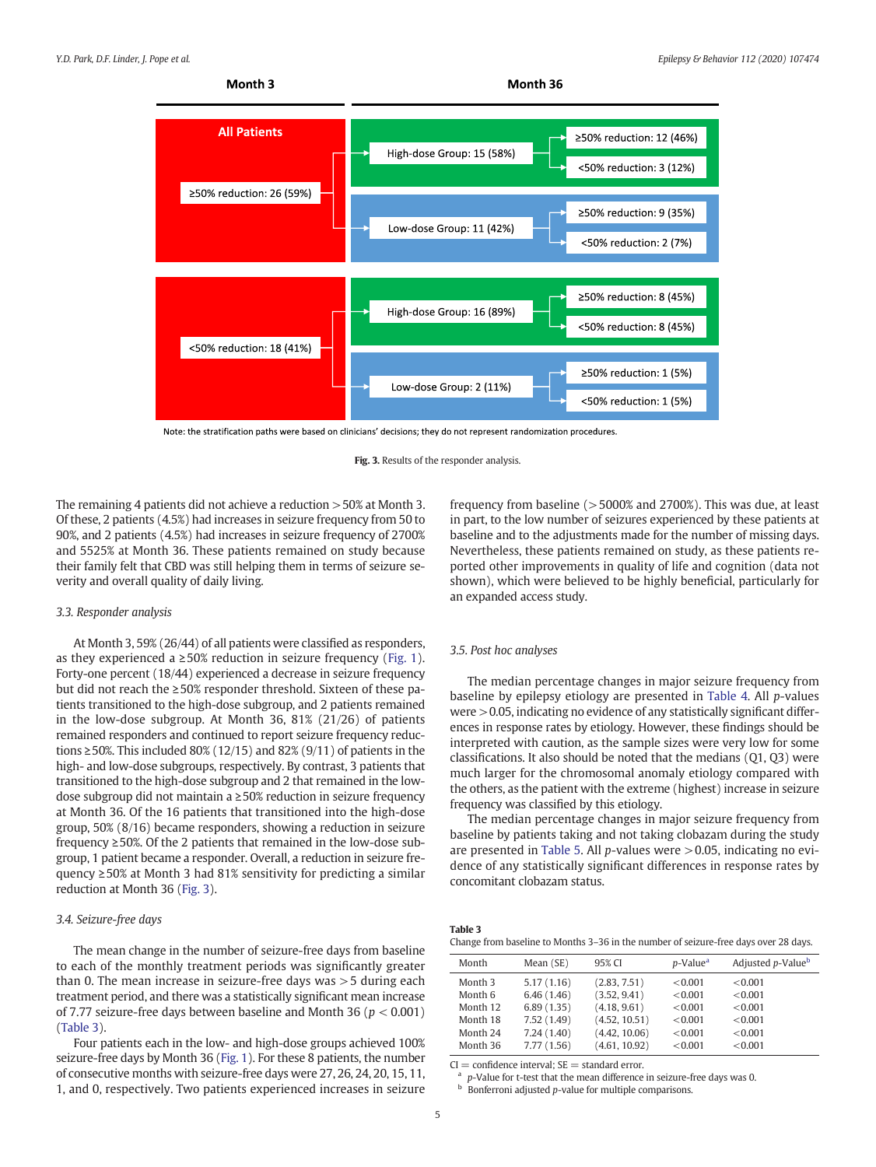

Note: the stratification paths were based on clinicians' decisions; they do not represent randomization procedures.

The remaining 4 patients did not achieve a reduction >50% at Month 3. Of these, 2 patients (4.5%) had increases in seizure frequency from 50 to 90%, and 2 patients (4.5%) had increases in seizure frequency of 2700% and 5525% at Month 36. These patients remained on study because their family felt that CBD was still helping them in terms of seizure severity and overall quality of daily living.

#### 3.3. Responder analysis

At Month 3, 59% (26/44) of all patients were classified as responders, as they experienced a  $\geq 50\%$  reduction in seizure frequency ([Fig. 1\)](#page-3-0). Forty-one percent (18/44) experienced a decrease in seizure frequency but did not reach the ≥50% responder threshold. Sixteen of these patients transitioned to the high-dose subgroup, and 2 patients remained in the low-dose subgroup. At Month 36, 81% (21/26) of patients remained responders and continued to report seizure frequency reductions  $\geq$  50%. This included 80% (12/15) and 82% (9/11) of patients in the high- and low-dose subgroups, respectively. By contrast, 3 patients that transitioned to the high-dose subgroup and 2 that remained in the lowdose subgroup did not maintain a ≥50% reduction in seizure frequency at Month 36. Of the 16 patients that transitioned into the high-dose group, 50% (8/16) became responders, showing a reduction in seizure frequency ≥50%. Of the 2 patients that remained in the low-dose subgroup, 1 patient became a responder. Overall, a reduction in seizure frequency ≥50% at Month 3 had 81% sensitivity for predicting a similar reduction at Month 36 (Fig. 3).

### 3.4. Seizure-free days

The mean change in the number of seizure-free days from baseline to each of the monthly treatment periods was significantly greater than 0. The mean increase in seizure-free days was >5 during each treatment period, and there was a statistically significant mean increase of 7.77 seizure-free days between baseline and Month 36 ( $p < 0.001$ ) (Table 3).

Four patients each in the low- and high-dose groups achieved 100% seizure-free days by Month 36 [\(Fig. 1](#page-3-0)). For these 8 patients, the number of consecutive months with seizure-free days were 27, 26, 24, 20, 15, 11, 1, and 0, respectively. Two patients experienced increases in seizure

frequency from baseline (>5000% and 2700%). This was due, at least in part, to the low number of seizures experienced by these patients at baseline and to the adjustments made for the number of missing days. Nevertheless, these patients remained on study, as these patients reported other improvements in quality of life and cognition (data not shown), which were believed to be highly beneficial, particularly for an expanded access study.

#### 3.5. Post hoc analyses

The median percentage changes in major seizure frequency from baseline by epilepsy etiology are presented in [Table 4](#page-5-0). All p-values were >0.05, indicating no evidence of any statistically significant differences in response rates by etiology. However, these findings should be interpreted with caution, as the sample sizes were very low for some classifications. It also should be noted that the medians (Q1, Q3) were much larger for the chromosomal anomaly etiology compared with the others, as the patient with the extreme (highest) increase in seizure frequency was classified by this etiology.

The median percentage changes in major seizure frequency from baseline by patients taking and not taking clobazam during the study are presented in [Table 5.](#page-5-0) All  $p$ -values were  $>$  0.05, indicating no evidence of any statistically significant differences in response rates by concomitant clobazam status.

| Table 3 |  |  |  |
|---------|--|--|--|
|         |  |  |  |

Change from baseline to Months 3–36 in the number of seizure-free days over 28 days.

| Month              | Mean (SE)  | 95% CI        | <i>p</i> -Value <sup>a</sup> | Adjusted p-Value <sup>b</sup> |
|--------------------|------------|---------------|------------------------------|-------------------------------|
| Month <sub>3</sub> | 5.17(1.16) | (2.83, 7.51)  | < 0.001                      | < 0.001                       |
| Month 6            | 6.46(1.46) | (3.52, 9.41)  | < 0.001                      | < 0.001                       |
| Month 12           | 6.89(1.35) | (4.18, 9.61)  | < 0.001                      | < 0.001                       |
| Month 18           | 7.52(1.49) | (4.52, 10.51) | < 0.001                      | < 0.001                       |
| Month 24           | 7.24(1.40) | (4.42, 10.06) | < 0.001                      | < 0.001                       |
| Month 36           | 7.77(1.56) | (4.61, 10.92) | < 0.001                      | < 0.001                       |

 $CI =$  confidence interval:  $SE =$  standard error.

p-Value for t-test that the mean difference in seizure-free days was 0. Bonferroni adjusted  $p$ -value for multiple comparisons.

Fig. 3. Results of the responder analysis.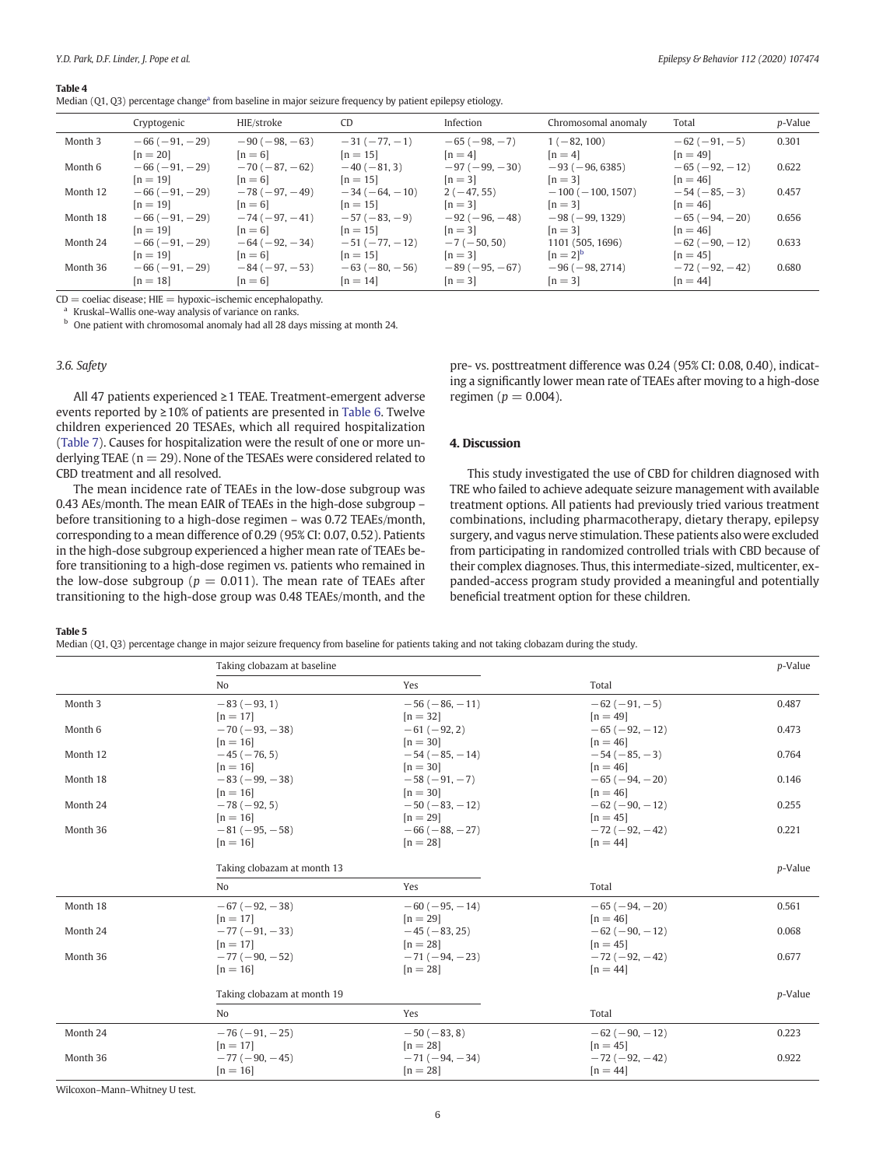#### <span id="page-5-0"></span>Table 4

| Median $(Q1, Q3)$ percentage change <sup>a</sup> from baseline in major seizure frequency by patient epilepsy etiology. |  |  |  |  |  |
|-------------------------------------------------------------------------------------------------------------------------|--|--|--|--|--|
|-------------------------------------------------------------------------------------------------------------------------|--|--|--|--|--|

|          | Cryptogenic    | HIE/stroke     | C <sub>D</sub>  | Infection      | Chromosomal anomaly     | Total          | <i>p</i> -Value |
|----------|----------------|----------------|-----------------|----------------|-------------------------|----------------|-----------------|
| Month 3  | $-66(-91,-29)$ | $-90(-98,-63)$ | $-31(-77,-1)$   | $-65(-98,-7)$  | $1(-82, 100)$           | $-62(-91,-5)$  | 0.301           |
|          | $[n = 20]$     | $[n=6]$        | $[n = 15]$      | $[n=4]$        | $[n=4]$                 | $[n = 49]$     |                 |
| Month 6  | $-66(-91,-29)$ | $-70(-87,-62)$ | $-40(-81, 3)$   | $-97(-99,-30)$ | $-93(-96, 6385)$        | $-65(-92,-12)$ | 0.622           |
|          | $[n = 19]$     | $[n=6]$        | $[n=15]$        | $[n=3]$        | $[n=3]$                 | $[n = 46]$     |                 |
| Month 12 | $-66(-91,-29)$ | $-78(-97,-49)$ | $-34(-64,-10)$  | $2(-47, 55)$   | $-100$ ( $-100$ , 1507) | $-54(-85,-3)$  | 0.457           |
|          | $[n = 19]$     | $[n=6]$        | $[n = 15]$      | $[n=3]$        | $[n=3]$                 | $[n = 46]$     |                 |
| Month 18 | $-66(-91,-29)$ | $-74(-97,-41)$ | $-57(-83,-9)$   | $-92(-96,-48)$ | $-98(-99, 1329)$        | $-65(-94,-20)$ | 0.656           |
|          | $[n = 19]$     | $[n=6]$        | $[n=15]$        | $[n=3]$        | $[n=3]$                 | $[n = 46]$     |                 |
| Month 24 | $-66(-91,-29)$ | $-64(-92,-34)$ | $-51(-77,-12)$  | $-7(-50, 50)$  | 1101 (505, 1696)        | $-62(-90,-12)$ | 0.633           |
|          | $[n = 19]$     | $[n=6]$        | $[n=15]$        | $[n=3]$        | $[n = 2]^{b}$           | $[n = 45]$     |                 |
| Month 36 | $-66(-91,-29)$ | $-84(-97,-53)$ | $-63(-80, -56)$ | $-89(-95,-67)$ | $-96(-98, 2714)$        | $-72(-92,-42)$ | 0.680           |
|          | $[n = 18]$     | $[n=6]$        | $[n=14]$        | $[n=3]$        | $[n=3]$                 | $[n = 44]$     |                 |

 $CD =$  coeliac disease;  $HIE =$  hypoxic–ischemic encephalopathy.

<sup>a</sup> Kruskal–Wallis one-way analysis of variance on ranks. b One patient with chromosomal anomaly had all 28 days missing at month 24.

### 3.6. Safety

All 47 patients experienced ≥1 TEAE. Treatment-emergent adverse events reported by ≥10% of patients are presented in [Table 6](#page-6-0). Twelve children experienced 20 TESAEs, which all required hospitalization ([Table 7](#page-6-0)). Causes for hospitalization were the result of one or more underlying TEAE ( $n = 29$ ). None of the TESAEs were considered related to CBD treatment and all resolved.

The mean incidence rate of TEAEs in the low-dose subgroup was 0.43 AEs/month. The mean EAIR of TEAEs in the high-dose subgroup – before transitioning to a high-dose regimen – was 0.72 TEAEs/month, corresponding to a mean difference of 0.29 (95% CI: 0.07, 0.52). Patients in the high-dose subgroup experienced a higher mean rate of TEAEs before transitioning to a high-dose regimen vs. patients who remained in the low-dose subgroup ( $p = 0.011$ ). The mean rate of TEAEs after transitioning to the high-dose group was 0.48 TEAEs/month, and the

pre- vs. posttreatment difference was 0.24 (95% CI: 0.08, 0.40), indicating a significantly lower mean rate of TEAEs after moving to a high-dose regimen ( $p = 0.004$ ).

## 4. Discussion

This study investigated the use of CBD for children diagnosed with TRE who failed to achieve adequate seizure management with available treatment options. All patients had previously tried various treatment combinations, including pharmacotherapy, dietary therapy, epilepsy surgery, and vagus nerve stimulation. These patients also were excluded from participating in randomized controlled trials with CBD because of their complex diagnoses. Thus, this intermediate-sized, multicenter, expanded-access program study provided a meaningful and potentially beneficial treatment option for these children.

Table 5

Median (Q1, Q3) percentage change in major seizure frequency from baseline for patients taking and not taking clobazam during the study.

|          | Taking clobazam at baseline |                |                | p-Value |
|----------|-----------------------------|----------------|----------------|---------|
|          | No                          | Yes            | Total          |         |
| Month 3  | $-83(-93, 1)$               | $-56(-86,-11)$ | $-62(-91,-5)$  | 0.487   |
|          | $[n = 17]$                  | $[n = 32]$     | $[n=49]$       |         |
| Month 6  | $-70(-93,-38)$              | $-61(-92, 2)$  | $-65(-92,-12)$ | 0.473   |
|          | $[n = 16]$                  | $[n = 30]$     | $[n=46]$       |         |
| Month 12 | $-45(-76, 5)$               | $-54(-85,-14)$ | $-54(-85,-3)$  | 0.764   |
|          | $[n = 16]$                  | $[n = 30]$     | $[n = 46]$     |         |
| Month 18 | $-83(-99,-38)$              | $-58(-91,-7)$  | $-65(-94,-20)$ | 0.146   |
|          | $[n = 16]$                  | $[n = 30]$     | $[n = 46]$     |         |
| Month 24 | $-78(-92, 5)$               | $-50(-83,-12)$ | $-62(-90,-12)$ | 0.255   |
|          | $[n = 16]$                  | $[n = 29]$     | $[n = 45]$     |         |
| Month 36 | $-81(-95, -58)$             | $-66(-88,-27)$ | $-72(-92,-42)$ | 0.221   |
|          | $[n = 16]$                  | $[n = 28]$     | $[n = 44]$     |         |
|          | Taking clobazam at month 13 |                |                | p-Value |
|          | N <sub>o</sub>              | Yes            | Total          |         |
| Month 18 | $-67(-92,-38)$              | $-60(-95,-14)$ | $-65(-94,-20)$ | 0.561   |
|          | $[n=17]$                    | $[n = 29]$     | $[n = 46]$     |         |
| Month 24 | $-77(-91,-33)$              | $-45(-83, 25)$ | $-62(-90,-12)$ | 0.068   |
|          | $[n = 17]$                  | $[n = 28]$     | $[n = 45]$     |         |
| Month 36 | $-77(-90,-52)$              | $-71(-94,-23)$ | $-72(-92,-42)$ | 0.677   |
|          | $[n = 16]$                  | $[n = 28]$     | $[n = 44]$     |         |
|          | Taking clobazam at month 19 |                |                | p-Value |
|          |                             |                |                |         |
|          | N <sub>o</sub>              | Yes            | Total          |         |
| Month 24 | $-76(-91,-25)$              | $-50(-83, 8)$  | $-62(-90,-12)$ | 0.223   |
|          | $[n = 17]$                  | $[n = 28]$     | $[n = 45]$     |         |
| Month 36 | $-77(-90,-45)$              | $-71(-94,-34)$ | $-72(-92,-42)$ | 0.922   |
|          | $[n = 16]$                  | $[n = 28]$     | $[n = 44]$     |         |

Wilcoxon–Mann–Whitney U test.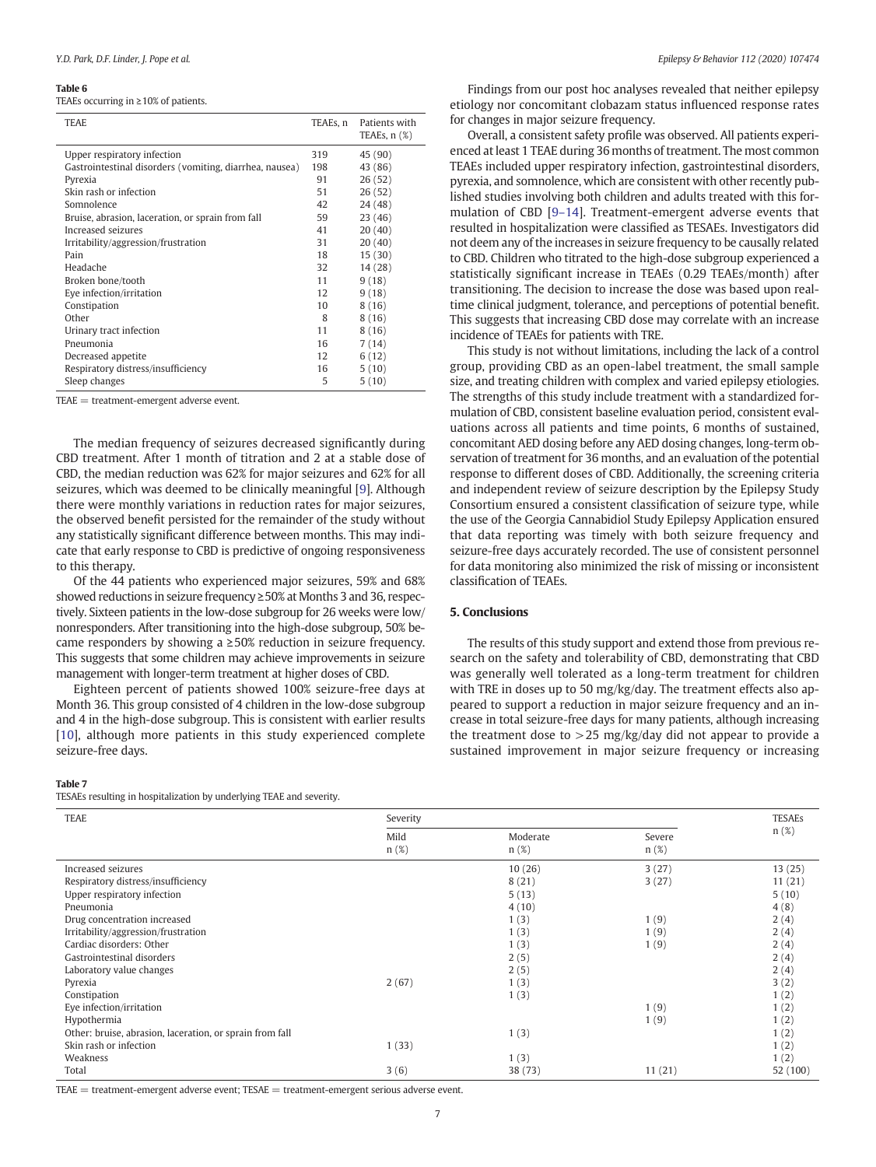#### <span id="page-6-0"></span>Table 6

TEAEs occurring in ≥10% of patients.

| <b>TEAE</b>                                             | TEAEs, n | Patients with<br>TEAEs, $n$ $(\%)$ |
|---------------------------------------------------------|----------|------------------------------------|
| Upper respiratory infection                             | 319      | 45 (90)                            |
| Gastrointestinal disorders (vomiting, diarrhea, nausea) | 198      | 43 (86)                            |
| Pyrexia                                                 | 91       | 26(52)                             |
| Skin rash or infection                                  | 51       | 26(52)                             |
| Somnolence                                              | 42       | 24 (48)                            |
| Bruise, abrasion, laceration, or sprain from fall       | 59       | 23 (46)                            |
| Increased seizures                                      | 41       | 20(40)                             |
| Irritability/aggression/frustration                     | 31       | 20(40)                             |
| Pain                                                    | 18       | 15(30)                             |
| Headache                                                | 32       | 14 (28)                            |
| Broken bone/tooth                                       | 11       | 9(18)                              |
| Eye infection/irritation                                | 12       | 9(18)                              |
| Constipation                                            | 10       | 8(16)                              |
| Other                                                   | 8        | 8(16)                              |
| Urinary tract infection                                 | 11       | 8(16)                              |
| Pneumonia                                               | 16       | 7(14)                              |
| Decreased appetite                                      | 12       | 6(12)                              |
| Respiratory distress/insufficiency                      | 16       | 5(10)                              |
| Sleep changes                                           | 5        | 5(10)                              |

TEAE = treatment-emergent adverse event.

The median frequency of seizures decreased significantly during CBD treatment. After 1 month of titration and 2 at a stable dose of CBD, the median reduction was 62% for major seizures and 62% for all seizures, which was deemed to be clinically meaningful [\[9\]](#page-7-0). Although there were monthly variations in reduction rates for major seizures, the observed benefit persisted for the remainder of the study without any statistically significant difference between months. This may indicate that early response to CBD is predictive of ongoing responsiveness to this therapy.

Of the 44 patients who experienced major seizures, 59% and 68% showed reductions in seizure frequency ≥50% at Months 3 and 36, respectively. Sixteen patients in the low-dose subgroup for 26 weeks were low/ nonresponders. After transitioning into the high-dose subgroup, 50% became responders by showing a ≥50% reduction in seizure frequency. This suggests that some children may achieve improvements in seizure management with longer-term treatment at higher doses of CBD.

Eighteen percent of patients showed 100% seizure-free days at Month 36. This group consisted of 4 children in the low-dose subgroup and 4 in the high-dose subgroup. This is consistent with earlier results [[10](#page-7-0)], although more patients in this study experienced complete seizure-free days.

#### Table 7

TESAEs resulting in hospitalization by underlying TEAE and severity.

Findings from our post hoc analyses revealed that neither epilepsy etiology nor concomitant clobazam status influenced response rates for changes in major seizure frequency.

Overall, a consistent safety profile was observed. All patients experienced at least 1 TEAE during 36 months of treatment. The most common TEAEs included upper respiratory infection, gastrointestinal disorders, pyrexia, and somnolence, which are consistent with other recently published studies involving both children and adults treated with this formulation of CBD [9–[14\]](#page-7-0). Treatment-emergent adverse events that resulted in hospitalization were classified as TESAEs. Investigators did not deem any of the increases in seizure frequency to be causally related to CBD. Children who titrated to the high-dose subgroup experienced a statistically significant increase in TEAEs (0.29 TEAEs/month) after transitioning. The decision to increase the dose was based upon realtime clinical judgment, tolerance, and perceptions of potential benefit. This suggests that increasing CBD dose may correlate with an increase incidence of TEAEs for patients with TRE.

This study is not without limitations, including the lack of a control group, providing CBD as an open-label treatment, the small sample size, and treating children with complex and varied epilepsy etiologies. The strengths of this study include treatment with a standardized formulation of CBD, consistent baseline evaluation period, consistent evaluations across all patients and time points, 6 months of sustained, concomitant AED dosing before any AED dosing changes, long-term observation of treatment for 36 months, and an evaluation of the potential response to different doses of CBD. Additionally, the screening criteria and independent review of seizure description by the Epilepsy Study Consortium ensured a consistent classification of seizure type, while the use of the Georgia Cannabidiol Study Epilepsy Application ensured that data reporting was timely with both seizure frequency and seizure-free days accurately recorded. The use of consistent personnel for data monitoring also minimized the risk of missing or inconsistent classification of TEAEs.

# 5. Conclusions

The results of this study support and extend those from previous research on the safety and tolerability of CBD, demonstrating that CBD was generally well tolerated as a long-term treatment for children with TRE in doses up to 50 mg/kg/day. The treatment effects also appeared to support a reduction in major seizure frequency and an increase in total seizure-free days for many patients, although increasing the treatment dose to  $>$  25 mg/kg/day did not appear to provide a sustained improvement in major seizure frequency or increasing

| <b>TEAE</b>                                              | Severity     |                     |                | TESAEs   |
|----------------------------------------------------------|--------------|---------------------|----------------|----------|
|                                                          | Mild<br>n(%) | Moderate<br>$n(\%)$ | Severe<br>n(%) | n(%)     |
| Increased seizures                                       |              | 10(26)              | 3(27)          | 13(25)   |
| Respiratory distress/insufficiency                       |              | 8(21)               | 3(27)          | 11(21)   |
| Upper respiratory infection                              |              | 5(13)               |                | 5(10)    |
| Pneumonia                                                |              | 4(10)               |                | 4(8)     |
| Drug concentration increased                             |              | 1(3)                | 1(9)           | 2(4)     |
| Irritability/aggression/frustration                      |              | 1(3)                | 1(9)           | 2(4)     |
| Cardiac disorders: Other                                 |              | 1(3)                | 1(9)           | 2(4)     |
| Gastrointestinal disorders                               |              | 2(5)                |                | 2(4)     |
| Laboratory value changes                                 |              | 2(5)                |                | 2(4)     |
| Pyrexia                                                  | 2(67)        | 1(3)                |                | 3(2)     |
| Constipation                                             |              | 1(3)                |                | 1(2)     |
| Eye infection/irritation                                 |              |                     | 1(9)           | 1(2)     |
| Hypothermia                                              |              |                     | 1(9)           | 1(2)     |
| Other: bruise, abrasion, laceration, or sprain from fall |              | 1(3)                |                | 1(2)     |
| Skin rash or infection                                   | 1(33)        |                     |                | 1(2)     |
| Weakness                                                 |              | 1(3)                |                | 1(2)     |
| Total                                                    | 3(6)         | 38 (73)             | 11(21)         | 52 (100) |

 $TEAE = treatment$ -emergent adverse event;  $TESAE = treatment$ -emergent serious adverse event.